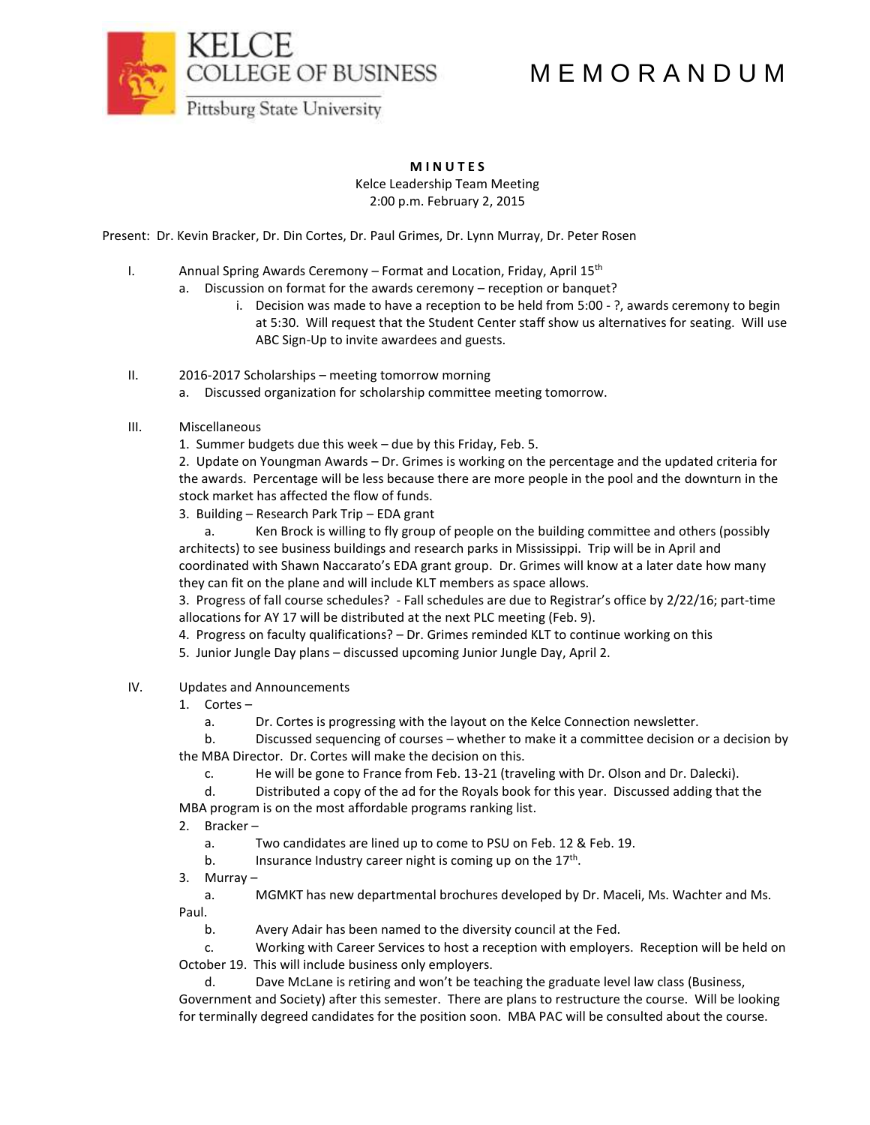M E M O R A N D U M



**M I N U T E S**

Kelce Leadership Team Meeting 2:00 p.m. February 2, 2015

Present: Dr. Kevin Bracker, Dr. Din Cortes, Dr. Paul Grimes, Dr. Lynn Murray, Dr. Peter Rosen

- I. Annual Spring Awards Ceremony Format and Location, Friday, April  $15<sup>th</sup>$ 
	- a. Discussion on format for the awards ceremony reception or banquet?
		- i. Decision was made to have a reception to be held from 5:00 ?, awards ceremony to begin at 5:30. Will request that the Student Center staff show us alternatives for seating. Will use ABC Sign-Up to invite awardees and guests.
- II. 2016-2017 Scholarships meeting tomorrow morning
	- a. Discussed organization for scholarship committee meeting tomorrow.
- III. Miscellaneous
	- 1. Summer budgets due this week due by this Friday, Feb. 5.

2. Update on Youngman Awards – Dr. Grimes is working on the percentage and the updated criteria for the awards. Percentage will be less because there are more people in the pool and the downturn in the stock market has affected the flow of funds.

3. Building – Research Park Trip – EDA grant

a. Ken Brock is willing to fly group of people on the building committee and others (possibly architects) to see business buildings and research parks in Mississippi. Trip will be in April and coordinated with Shawn Naccarato's EDA grant group. Dr. Grimes will know at a later date how many they can fit on the plane and will include KLT members as space allows.

3. Progress of fall course schedules? - Fall schedules are due to Registrar's office by 2/22/16; part-time allocations for AY 17 will be distributed at the next PLC meeting (Feb. 9).

4. Progress on faculty qualifications? – Dr. Grimes reminded KLT to continue working on this

- 5. Junior Jungle Day plans discussed upcoming Junior Jungle Day, April 2.
- IV. Updates and Announcements
	- 1. Cortes
		- a. Dr. Cortes is progressing with the layout on the Kelce Connection newsletter.

b. Discussed sequencing of courses – whether to make it a committee decision or a decision by the MBA Director. Dr. Cortes will make the decision on this.

c. He will be gone to France from Feb. 13-21 (traveling with Dr. Olson and Dr. Dalecki).

d. Distributed a copy of the ad for the Royals book for this year. Discussed adding that the MBA program is on the most affordable programs ranking list.

- 2. Bracker
	- a. Two candidates are lined up to come to PSU on Feb. 12 & Feb. 19.
	- b. Insurance Industry career night is coming up on the 17<sup>th</sup>.
- 3. Murray –

a. MGMKT has new departmental brochures developed by Dr. Maceli, Ms. Wachter and Ms. Paul.

b. Avery Adair has been named to the diversity council at the Fed.

c. Working with Career Services to host a reception with employers. Reception will be held on October 19. This will include business only employers.

d. Dave McLane is retiring and won't be teaching the graduate level law class (Business, Government and Society) after this semester. There are plans to restructure the course. Will be looking for terminally degreed candidates for the position soon. MBA PAC will be consulted about the course.